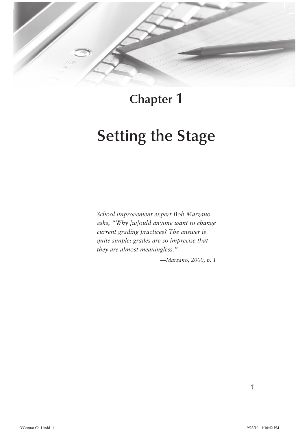

**Chapter 1**

# **Setting the Stage**

*School improvement expert Bob Marzano asks, "Why [w]ould anyone want to change current grading practices? The answer is quite simple: grades are so imprecise that they are almost meaningless."*

*—Marzano, 2000, p. 1*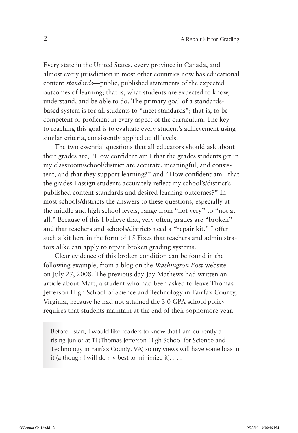Every state in the United States, every province in Canada, and almost every jurisdiction in most other countries now has educational content *standards*—public, published statements of the expected outcomes of learning; that is, what students are expected to know, understand, and be able to do. The primary goal of a standardsbased system is for all students to "meet standards"; that is, to be competent or proficient in every aspect of the curriculum. The key to reaching this goal is to evaluate every student's achievement using similar criteria, consistently applied at all levels.

The two essential questions that all educators should ask about their grades are, "How confident am I that the grades students get in my classroom/school/district are accurate, meaningful, and consistent, and that they support learning?" and "How confident am I that the grades I assign students accurately reflect my school's/district's published content standards and desired learning outcomes?" In most schools/districts the answers to these questions, especially at the middle and high school levels, range from "not very" to "not at all." Because of this I believe that, very often, grades are "broken" and that teachers and schools/districts need a "repair kit." I offer such a kit here in the form of 15 Fixes that teachers and administrators alike can apply to repair broken grading systems.

Clear evidence of this broken condition can be found in the following example, from a blog on the *Washington Post* website on July 27, 2008. The previous day Jay Mathews had written an article about Matt, a student who had been asked to leave Thomas Jefferson High School of Science and Technology in Fairfax County, Virginia, because he had not attained the 3.0 GPA school policy requires that students maintain at the end of their sophomore year.

Before I start, I would like readers to know that I am currently a rising junior at TJ (Thomas Jefferson High School for Science and Technology in Fairfax County, VA) so my views will have some bias in it (although I will do my best to minimize it). . . .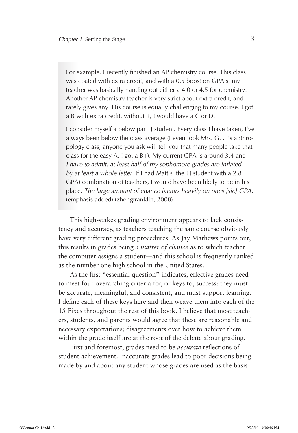For example, I recently finished an AP chemistry course. This class was coated with extra credit, and with a 0.5 boost on GPA's, my teacher was basically handing out either a 4.0 or 4.5 for chemistry. Another AP chemistry teacher is very strict about extra credit, and rarely gives any. His course is equally challenging to my course. I got a B with extra credit, without it, I would have a C or D.

I consider myself a below par TJ student. Every class I have taken, I've always been below the class average (I even took Mrs. G. . .'s anthropology class, anyone you ask will tell you that many people take that class for the easy A. I got a B+). My current GPA is around 3.4 and *I have to admit, at least half of my sophomore grades are inflated by at least a whole letter*. If I had Matt's (the TJ student with a 2.8 GPA) combination of teachers, I would have been likely to be in his place. *The large amount of chance factors heavily on ones [sic] GPA.* (emphasis added) (zhengfranklin, 2008)

This high-stakes grading environment appears to lack consistency and accuracy, as teachers teaching the same course obviously have very different grading procedures. As Jay Mathews points out, this results in grades being *a matter of chance* as to which teacher the computer assigns a student—and this school is frequently ranked as the number one high school in the United States.

As the first "essential question" indicates, effective grades need to meet four overarching criteria for, or keys to, success: they must be accurate, meaningful, and consistent, and must support learning. I define each of these keys here and then weave them into each of the 15 Fixes throughout the rest of this book. I believe that most teachers, students, and parents would agree that these are reasonable and necessary expectations; disagreements over how to achieve them within the grade itself are at the root of the debate about grading.

First and foremost, grades need to be *accurate* reflections of student achievement. Inaccurate grades lead to poor decisions being made by and about any student whose grades are used as the basis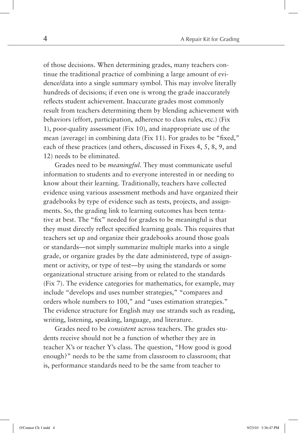of those decisions. When determining grades, many teachers continue the traditional practice of combining a large amount of evidence/data into a single summary symbol. This may involve literally hundreds of decisions; if even one is wrong the grade inaccurately reflects student achievement. Inaccurate grades most commonly result from teachers determining them by blending achievement with behaviors (effort, participation, adherence to class rules, etc.) (Fix 1), poor-quality assessment (Fix 10), and inappropriate use of the mean (average) in combining data (Fix 11). For grades to be "fixed," each of these practices (and others, discussed in Fixes 4, 5, 8, 9, and 12) needs to be eliminated.

Grades need to be *meaningful*. They must communicate useful information to students and to everyone interested in or needing to know about their learning. Traditionally, teachers have collected evidence using various assessment methods and have organized their gradebooks by type of evidence such as tests, projects, and assignments. So, the grading link to learning outcomes has been tentative at best. The "fix" needed for grades to be meaningful is that they must directly reflect specified learning goals. This requires that teachers set up and organize their gradebooks around those goals or standards—not simply summarize multiple marks into a single grade, or organize grades by the date administered, type of assignment or activity, or type of test—by using the standards or some organizational structure arising from or related to the standards (Fix 7). The evidence categories for mathematics, for example, may include "develops and uses number strategies," "compares and orders whole numbers to 100," and "uses estimation strategies." The evidence structure for English may use strands such as reading, writing, listening, speaking, language, and literature.

Grades need to be *consistent* across teachers. The grades students receive should not be a function of whether they are in teacher X's or teacher Y's class. The question, "How good is good enough?" needs to be the same from classroom to classroom; that is, performance standards need to be the same from teacher to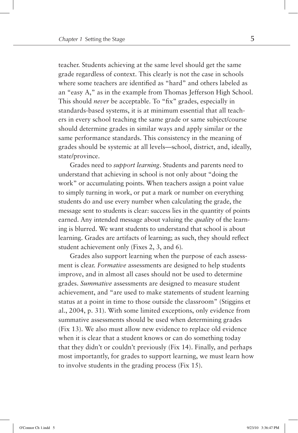teacher. Students achieving at the same level should get the same grade regardless of context. This clearly is not the case in schools where some teachers are identified as "hard" and others labeled as an "easy A," as in the example from Thomas Jefferson High School. This should *never* be acceptable. To "fix" grades, especially in standards-based systems, it is at minimum essential that all teachers in every school teaching the same grade or same subject/course should determine grades in similar ways and apply similar or the same performance standards. This consistency in the meaning of grades should be systemic at all levels—school, district, and, ideally, state/province.

Grades need to *support learning*. Students and parents need to understand that achieving in school is not only about "doing the work" or accumulating points. When teachers assign a point value to simply turning in work, or put a mark or number on everything students do and use every number when calculating the grade, the message sent to students is clear: success lies in the quantity of points earned. Any intended message about valuing the *quality* of the learning is blurred. We want students to understand that school is about learning. Grades are artifacts of learning; as such, they should reflect student achievement only (Fixes 2, 3, and 6)*.*

Grades also support learning when the purpose of each assessment is clear. *Formative* assessments are designed to help students improve, and in almost all cases should not be used to determine grades. *Summative* assessments are designed to measure student achievement, and "are used to make statements of student learning status at a point in time to those outside the classroom" (Stiggins et al., 2004, p. 31). With some limited exceptions, only evidence from summative assessments should be used when determining grades (Fix 13). We also must allow new evidence to replace old evidence when it is clear that a student knows or can do something today that they didn't or couldn't previously (Fix 14). Finally, and perhaps most importantly, for grades to support learning, we must learn how to involve students in the grading process (Fix 15).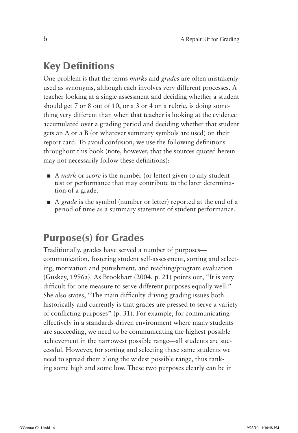### **Key Definitions**

One problem is that the terms *marks* and *grades* are often mistakenly used as synonyms, although each involves very different processes. A teacher looking at a single assessment and deciding whether a student should get 7 or 8 out of 10, or a 3 or 4 on a rubric, is doing something very different than when that teacher is looking at the evidence accumulated over a grading period and deciding whether that student gets an A or a B (or whatever summary symbols are used) on their report card. To avoid confusion, we use the following definitions throughout this book (note, however, that the sources quoted herein may not necessarily follow these definitions):

- A *mark* or *score* is the number (or letter) given to any student test or performance that may contribute to the later determination of a grade.
- A *grade* is the symbol (number or letter) reported at the end of a period of time as a summary statement of student performance.

## **Purpose(s) for Grades**

Traditionally, grades have served a number of purposes communication, fostering student self-assessment, sorting and selecting, motivation and punishment, and teaching/program evaluation (Guskey, 1996a). As Brookhart (2004, p. 21) points out, "It is very difficult for one measure to serve different purposes equally well." She also states, "The main difficulty driving grading issues both historically and currently is that grades are pressed to serve a variety of conflicting purposes"  $(p, 31)$ . For example, for communicating effectively in a standards-driven environment where many students are succeeding, we need to be communicating the highest possible achievement in the narrowest possible range—all students are successful. However, for sorting and selecting these same students we need to spread them along the widest possible range, thus ranking some high and some low. These two purposes clearly can be in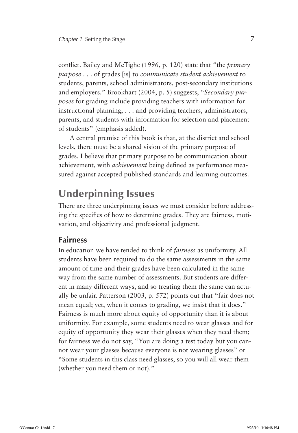conflict. Bailey and McTighe (1996, p. 120) state that "the *primary purpose* . . . of grades [is] to *communicate student achievement* to students, parents, school administrators, post-secondary institutions and employers." Brookhart (2004, p. 5) suggests, "*Secondary purposes* for grading include providing teachers with information for instructional planning, . . . and providing teachers, administrators, parents, and students with information for selection and placement of students" (emphasis added).

A central premise of this book is that, at the district and school levels, there must be a shared vision of the primary purpose of grades. I believe that primary purpose to be communication about achievement, with *achievement* being defined as performance measured against accepted published standards and learning outcomes.

### **Underpinning Issues**

There are three underpinning issues we must consider before addressing the specifics of how to determine grades. They are fairness, motivation, and objectivity and professional judgment.

### **Fairness**

In education we have tended to think of *fairness* as uniformity. All students have been required to do the same assessments in the same amount of time and their grades have been calculated in the same way from the same number of assessments. But students are different in many different ways, and so treating them the same can actually be unfair. Patterson (2003, p. 572) points out that "fair does not mean equal; yet, when it comes to grading, we insist that it does." Fairness is much more about equity of opportunity than it is about uniformity. For example, some students need to wear glasses and for equity of opportunity they wear their glasses when they need them; for fairness we do not say, "You are doing a test today but you cannot wear your glasses because everyone is not wearing glasses" or "Some students in this class need glasses, so you will all wear them (whether you need them or not)."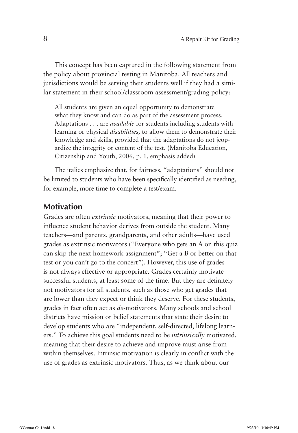This concept has been captured in the following statement from the policy about provincial testing in Manitoba. All teachers and jurisdictions would be serving their students well if they had a similar statement in their school/classroom assessment/grading policy:

All students are given an equal opportunity to demonstrate what they know and can do as part of the assessment process. Adaptations . . . are *available* for students including students with learning or physical *disabilities,* to allow them to demonstrate their knowledge and skills, provided that the adaptations do not jeopardize the integrity or content of the test. (Manitoba Education, Citizenship and Youth, 2006, p. 1, emphasis added)

The italics emphasize that, for fairness, "adaptations" should not be limited to students who have been specifically identified as needing, for example, more time to complete a test/exam.

### **Motivation**

Grades are often *extrinsic* motivators, meaning that their power to influence student behavior derives from outside the student. Many teachers—and parents, grandparents, and other adults—have used grades as extrinsic motivators ("Everyone who gets an A on this quiz can skip the next homework assignment"; "Get a B or better on that test or you can't go to the concert"). However, this use of grades is not always effective or appropriate. Grades certainly motivate successful students, at least some of the time. But they are definitely not motivators for all students, such as those who get grades that are lower than they expect or think they deserve. For these students, grades in fact often act as *de*-motivators. Many schools and school districts have mission or belief statements that state their desire to develop students who are "independent, self-directed, lifelong learners." To achieve this goal students need to be *intrinsically* motivated, meaning that their desire to achieve and improve must arise from within themselves. Intrinsic motivation is clearly in conflict with the use of grades as extrinsic motivators. Thus, as we think about our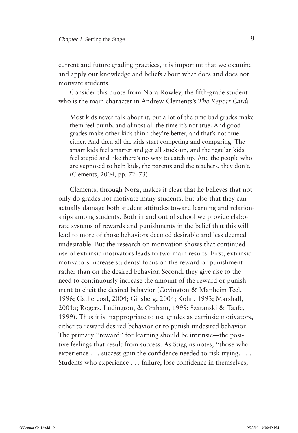current and future grading practices, it is important that we examine and apply our knowledge and beliefs about what does and does not motivate students.

Consider this quote from Nora Rowley, the fifth-grade student who is the main character in Andrew Clements's *The Report Card*:

Most kids never talk about it, but a lot of the time bad grades make them feel dumb, and almost all the time it's not true. And good grades make other kids think they're better, and that's not true either. And then all the kids start competing and comparing. The smart kids feel smarter and get all stuck-up, and the regular kids feel stupid and like there's no way to catch up. And the people who are supposed to help kids, the parents and the teachers, they don't. (Clements, 2004, pp. 72–73)

Clements, through Nora, makes it clear that he believes that not only do grades not motivate many students, but also that they can actually damage both student attitudes toward learning and relationships among students. Both in and out of school we provide elaborate systems of rewards and punishments in the belief that this will lead to more of those behaviors deemed desirable and less deemed undesirable. But the research on motivation shows that continued use of extrinsic motivators leads to two main results. First, extrinsic motivators increase students' focus on the reward or punishment rather than on the desired behavior. Second, they give rise to the need to continuously increase the amount of the reward or punishment to elicit the desired behavior (Covington & Manheim Teel, 1996; Gathercoal, 2004; Ginsberg, 2004; Kohn, 1993; Marshall, 2001a; Rogers, Ludington, & Graham, 1998; Szatanski & Taafe, 1999). Thus it is inappropriate to use grades as extrinsic motivators, either to reward desired behavior or to punish undesired behavior. The primary "reward" for learning should be intrinsic—the positive feelings that result from success. As Stiggins notes, "those who experience  $\dots$  success gain the confidence needed to risk trying.  $\dots$ Students who experience . . . failure, lose confidence in themselves,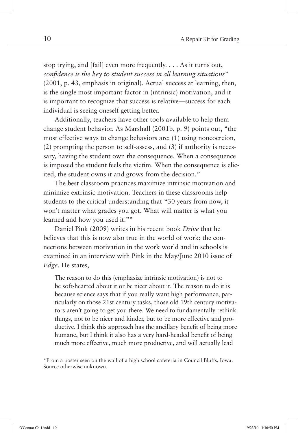stop trying, and [fail] even more frequently. . . . As it turns out, *confi dence is the key to student success in all learning situations*" (2001, p. 43, emphasis in original). Actual success at learning, then, is the single most important factor in (intrinsic) motivation, and it is important to recognize that success is relative—success for each individual is seeing oneself getting better.

Additionally, teachers have other tools available to help them change student behavior. As Marshall (2001b, p. 9) points out, "the most effective ways to change behaviors are: (1) using noncoercion, (2) prompting the person to self-assess, and (3) if authority is necessary, having the student own the consequence. When a consequence is imposed the student feels the victim. When the consequence is elicited, the student owns it and grows from the decision."

The best classroom practices maximize intrinsic motivation and minimize extrinsic motivation. Teachers in these classrooms help students to the critical understanding that "30 years from now, it won't matter what grades you got. What will matter is what you learned and how you used it."\*

Daniel Pink (2009) writes in his recent book *Drive* that he believes that this is now also true in the world of work; the connections between motivation in the work world and in schools is examined in an interview with Pink in the May/June 2010 issue of *Edge*. He states,

The reason to do this (emphasize intrinsic motivation) is not to be soft-hearted about it or be nicer about it. The reason to do it is because science says that if you really want high performance, particularly on those 21st century tasks, those old 19th century motivators aren't going to get you there. We need to fundamentally rethink things, not to be nicer and kinder, but to be more effective and productive. I think this approach has the ancillary benefit of being more humane, but I think it also has a very hard-headed benefit of being much more effective, much more productive, and will actually lead

<sup>\*</sup>From a poster seen on the wall of a high school cafeteria in Council Bluffs, Iowa. Source otherwise unknown.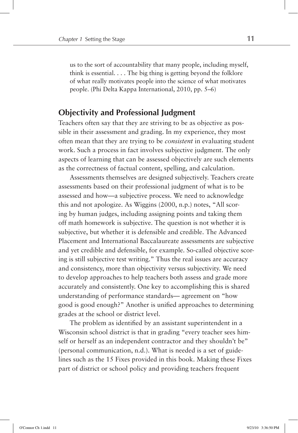us to the sort of accountability that many people, including myself, think is essential.  $\ldots$  The big thing is getting beyond the folklore of what really motivates people into the science of what motivates people. (Phi Delta Kappa International, 2010, pp. 5–6)

### **Objectivity and Professional Judgment**

Teachers often say that they are striving to be as objective as possible in their assessment and grading. In my experience, they most often mean that they are trying to be *consistent* in evaluating student work. Such a process in fact involves subjective judgment. The only aspects of learning that can be assessed objectively are such elements as the correctness of factual content, spelling, and calculation.

Assessments themselves are designed subjectively. Teachers create assessments based on their professional judgment of what is to be assessed and how—a subjective process. We need to acknowledge this and not apologize. As Wiggins (2000, n.p.) notes, "All scoring by human judges, including assigning points and taking them off math homework is subjective. The question is not whether it is subjective, but whether it is defensible and credible. The Advanced Placement and International Baccalaureate assessments are subjective and yet credible and defensible, for example. So-called objective scoring is still subjective test writing." Thus the real issues are accuracy and consistency, more than objectivity versus subjectivity. We need to develop approaches to help teachers both assess and grade more accurately and consistently. One key to accomplishing this is shared understanding of performance standards— agreement on "how good is good enough?" Another is unified approaches to determining grades at the school or district level.

The problem as identified by an assistant superintendent in a Wisconsin school district is that in grading "every teacher sees himself or herself as an independent contractor and they shouldn't be" (personal communication, n.d.). What is needed is a set of guidelines such as the 15 Fixes provided in this book. Making these Fixes part of district or school policy and providing teachers frequent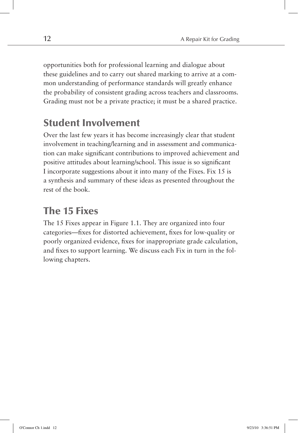opportunities both for professional learning and dialogue about these guidelines and to carry out shared marking to arrive at a common understanding of performance standards will greatly enhance the probability of consistent grading across teachers and classrooms. Grading must not be a private practice; it must be a shared practice.

# **Student Involvement**

Over the last few years it has become increasingly clear that student involvement in teaching/learning and in assessment and communication can make significant contributions to improved achievement and positive attitudes about learning/school. This issue is so significant I incorporate suggestions about it into many of the Fixes. Fix 15 is a synthesis and summary of these ideas as presented throughout the rest of the book.

# **The 15 Fixes**

The 15 Fixes appear in Figure 1.1. They are organized into four categories—fixes for distorted achievement, fixes for low-quality or poorly organized evidence, fixes for inappropriate grade calculation, and fixes to support learning. We discuss each Fix in turn in the following chapters.